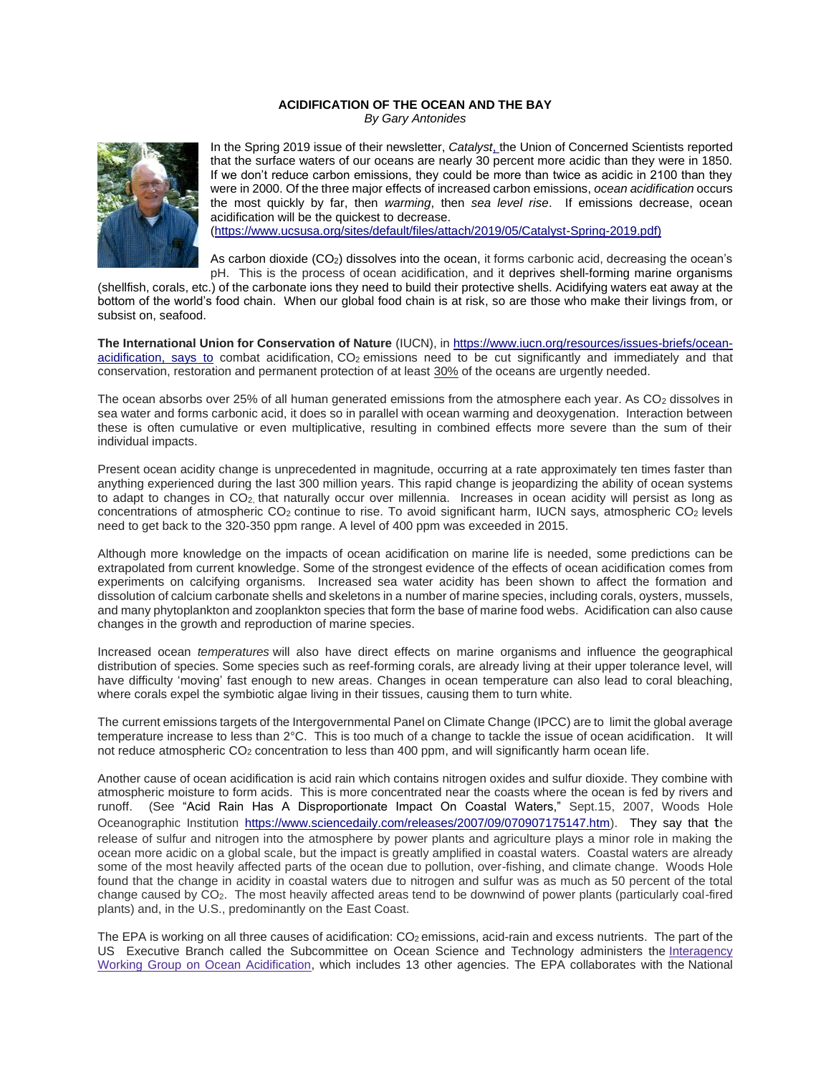## **ACIDIFICATION OF THE OCEAN AND THE BAY**

*By Gary Antonides*



In the Spring 2019 issue of their newsletter, *Catalyst*, the Union of Concerned Scientists reported that the surface waters of our oceans are nearly 30 percent more acidic than they were in 1850. If we don't reduce carbon emissions, they could be more than twice as acidic in 2100 than they were in 2000. Of the three major effects of increased carbon emissions, *ocean acidification* occurs the most quickly by far, then *warming*, then *sea level rise*. If emissions decrease, ocean acidification will be the quickest to decrease.

[\(https://www.ucsusa.org/sites/default/files/attach/2019/05/Catalyst-Spring-2019.pdf\)](https://www.ucsusa.org/sites/default/files/attach/2019/05/Catalyst-Spring-2019.pdf)

As carbon dioxide  $(CO<sub>2</sub>)$  dissolves into the ocean, it forms carbonic acid, decreasing the ocean's pH. This is the process of ocean acidification, and it deprives shell-forming marine organisms

(shellfish, corals, etc.) of the carbonate ions they need to build their protective shells. Acidifying waters eat away at the bottom of the world's food chain. When our global food chain is at risk, so are those who make their livings from, or subsist on, seafood.

**The International Union for Conservation of Nature** (IUCN), in [https://www.iucn.org/resources/issues-briefs/ocean](https://www.iucn.org/resources/issues-briefs/ocean-acidification)[acidification,](https://www.iucn.org/resources/issues-briefs/ocean-acidification) says to combat acidification, CO<sub>2</sub> emissions need to be cut significantly and immediately and that conservation, restoration and permanent protection of at least 30% of the oceans are urgently needed.

The ocean absorbs over 25% of all human generated emissions from the atmosphere each year. As CO<sub>2</sub> dissolves in sea water and forms carbonic acid, it does so in parallel with ocean warming and deoxygenation. Interaction between these is often cumulative or even multiplicative, resulting in combined effects more severe than the sum of their individual impacts.

Present ocean acidity change is unprecedented in magnitude, occurring at a rate approximately ten times faster than anything experienced during the last 300 million years. This rapid change is jeopardizing the ability of ocean systems to adapt to changes in CO<sub>2</sub>, that naturally occur over millennia. Increases in ocean acidity will persist as long as concentrations of atmospheric CO<sub>2</sub> continue to rise. To avoid significant harm, IUCN says, atmospheric CO<sub>2</sub> levels need to get back to the 320-350 ppm range. A level of 400 ppm was exceeded in 2015.

Although more knowledge on the impacts of ocean acidification on marine life is needed, some predictions can be extrapolated from current knowledge. Some of the strongest evidence of the effects of ocean acidification comes from experiments on calcifying organisms. Increased sea water acidity has been shown to affect the formation and dissolution of calcium carbonate shells and skeletons in a number of marine species, including corals, oysters, mussels, and many phytoplankton and zooplankton species that form the base of marine food webs. Acidification can also cause changes in the growth and reproduction of marine species.

Increased ocean *temperatures* will also have direct effects on marine organisms and influence the geographical distribution of species. Some species such as reef-forming corals, are already living at their upper tolerance level, will have difficulty 'moving' fast enough to new areas. Changes in ocean temperature can also lead to coral bleaching, where corals expel the symbiotic algae living in their tissues, causing them to turn white.

The current emissions targets of the Intergovernmental Panel on Climate Change (IPCC) are to limit the global average temperature increase to less than 2°C. This is too much of a change to tackle the issue of ocean acidification. It will not reduce atmospheric CO<sub>2</sub> concentration to less than 400 ppm, and will significantly harm ocean life.

Another cause of ocean acidification is acid rain which contains nitrogen oxides and sulfur dioxide. They combine with atmospheric moisture to form acids. This is more concentrated near the coasts where the ocean is fed by rivers and runoff. (See "Acid Rain Has A Disproportionate Impact On Coastal Waters," Sept.15, 2007, Woods Hole Oceanographic Institution [https://www.sciencedaily.com/releases/2007/09/070907175147.htm\)](https://www.sciencedaily.com/releases/2007/09/070907175147.htm). They say that the release of sulfur and nitrogen into the atmosphere by power plants and agriculture plays a minor role in making the ocean more acidic on a global scale, but the impact is greatly amplified in coastal waters. Coastal waters are already some of the most heavily affected parts of the ocean due to pollution, over-fishing, and climate change. Woods Hole found that the change in acidity in coastal waters due to nitrogen and sulfur was as much as 50 percent of the total change caused by CO<sub>2</sub>. The most heavily affected areas tend to be downwind of power plants (particularly coal-fired plants) and, in the U.S., predominantly on the East Coast.

The EPA is working on all three causes of acidification:  $CO<sub>2</sub>$  emissions, acid-rain and excess nutrients. The part of the US Executive Branch called the Subcommittee on Ocean Science and Technology administers the [Interagency](https://oceanacidification.noaa.gov/_iwgoa/Home.aspx)  [Working Group on Ocean Acidification,](https://oceanacidification.noaa.gov/_iwgoa/Home.aspx) which includes 13 other agencies. The EPA collaborates with the National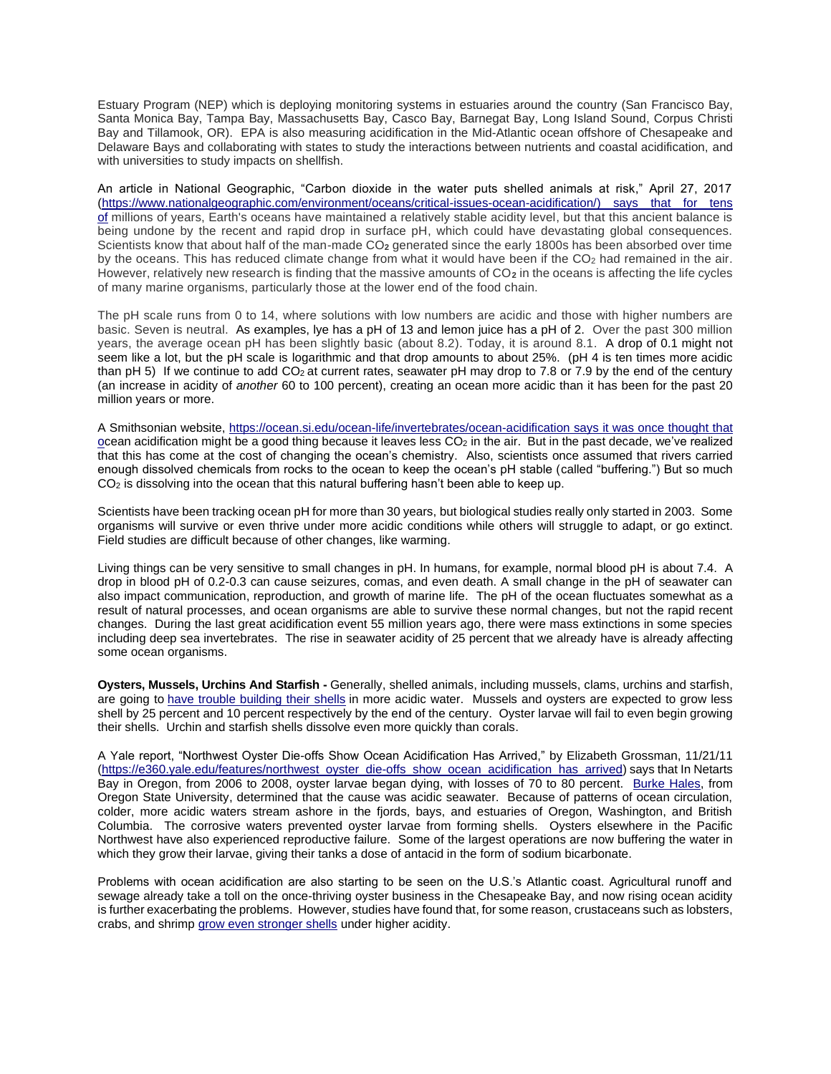Estuary Program (NEP) which is deploying monitoring systems in estuaries around the country (San Francisco Bay, Santa Monica Bay, Tampa Bay, Massachusetts Bay, Casco Bay, Barnegat Bay, Long Island Sound, Corpus Christi Bay and Tillamook, OR). EPA is also measuring acidification in the Mid-Atlantic ocean offshore of Chesapeake and Delaware Bays and collaborating with states to study the interactions between nutrients and coastal acidification, and with universities to study impacts on shellfish.

An article in National Geographic, "Carbon dioxide in the water puts shelled animals at risk," April 27, 2017 [\(https://www.nationalgeographic.com/environment/oceans/critical-issues-ocean-acidification/\)](https://www.nationalgeographic.com/environment/oceans/critical-issues-ocean-acidification/) says that for tens of millions of years, Earth's oceans have maintained a relatively stable acidity level, but that this ancient balance is being undone by the recent and rapid drop in surface pH, which could have devastating global consequences. Scientists know that about half of the man-made CO**<sup>2</sup>** generated since the early 1800s has been absorbed over time by the oceans. This has reduced climate change from what it would have been if the CO<sub>2</sub> had remained in the air. However, relatively new research is finding that the massive amounts of CO**<sup>2</sup>** in the oceans is affecting the life cycles of many marine organisms, particularly those at the lower end of the food chain.

The pH scale runs from 0 to 14, where solutions with low numbers are acidic and those with higher numbers are basic. Seven is neutral. As examples, lye has a pH of 13 and lemon juice has a pH of 2. Over the past 300 million years, the average ocean pH has been slightly basic (about 8.2). Today, it is around 8.1. A drop of 0.1 might not seem like a lot, but the pH scale is logarithmic and that drop amounts to about 25%. (pH 4 is ten times more acidic than pH 5) If we continue to add  $CO<sub>2</sub>$  at current rates, seawater pH may drop to 7.8 or 7.9 by the end of the century (an increase in acidity of *another* 60 to 100 percent), creating an ocean more acidic than it has been for the past 20 million years or more.

A Smithsonian website,<https://ocean.si.edu/ocean-life/invertebrates/ocean-acidification> says it was once thought that ocean acidification might be a good thing because it leaves less CO<sub>2</sub> in the air. But in the past decade, we've realized that this has come at the cost of changing the ocean's chemistry. Also, scientists once assumed that rivers carried enough dissolved chemicals from rocks to the ocean to keep the ocean's pH stable (called "buffering.") But so much CO<sub>2</sub> is dissolving into the ocean that this natural buffering hasn't been able to keep up.

Scientists have been tracking ocean pH for more than 30 years, but biological studies really only started in 2003. Some organisms will survive or even thrive under more acidic conditions while others will struggle to adapt, or go extinct. Field studies are difficult because of other changes, like warming.

Living things can be very sensitive to small changes in pH. In humans, for example, normal blood pH is about 7.4. A drop in blood pH of 0.2-0.3 can cause seizures, comas, and even death. A small change in the pH of seawater can also impact communication, reproduction, and growth of marine life. The pH of the ocean fluctuates somewhat as a result of natural processes, and ocean organisms are able to survive these normal changes, but not the rapid recent changes. During the last great acidification event 55 million years ago, there were mass extinctions in some species including deep sea invertebrates. The rise in seawater acidity of 25 percent that we already have is already affecting some ocean organisms.

**Oysters, Mussels, Urchins And Starfish -** Generally, shelled animals, including mussels, clams, urchins and starfish, are going to [have trouble building their shells](http://www.earthmagazine.org/article/shell-shocked-how-different-creatures-deal-acidifying-ocean) in more acidic water. Mussels and oysters are expected to grow less shell by 25 percent and 10 percent respectively by the end of the century. Oyster larvae will fail to even begin growing their shells. Urchin and starfish shells dissolve even more quickly than corals.

A Yale report, "Northwest Oyster Die-offs Show Ocean Acidification Has Arrived," by Elizabeth Grossman, 11/21/11 [\(https://e360.yale.edu/features/northwest\\_oyster\\_die-offs\\_show\\_ocean\\_acidification\\_has\\_arrived\)](https://e360.yale.edu/features/northwest_oyster_die-offs_show_ocean_acidification_has_arrived) says that In Netarts Bay in Oregon, from 2006 to 2008, oyster larvae began dying, with losses of 70 to 80 percent. [Burke Hales,](http://www.oce.orst.edu/index.cfm?fuseaction=content.search&searchtype=people&detail=1&id=542) from Oregon State University, determined that the cause was acidic seawater. Because of patterns of ocean circulation, colder, more acidic waters stream ashore in the fjords, bays, and estuaries of Oregon, Washington, and British Columbia. The corrosive waters prevented oyster larvae from forming shells. Oysters elsewhere in the Pacific Northwest have also experienced reproductive failure. Some of the largest operations are now buffering the water in which they grow their larvae, giving their tanks a dose of antacid in the form of sodium bicarbonate.

Problems with ocean acidification are also starting to be seen on the U.S.'s Atlantic coast. Agricultural runoff and sewage already take a toll on the once-thriving oyster business in the Chesapeake Bay, and now rising ocean acidity is further exacerbating the problems. However, studies have found that, for some reason, crustaceans such as lobsters, crabs, and shrimp [grow even stronger shells](http://www.earthmagazine.org/article/shell-shocked-how-different-creatures-deal-acidifying-ocean) under higher acidity.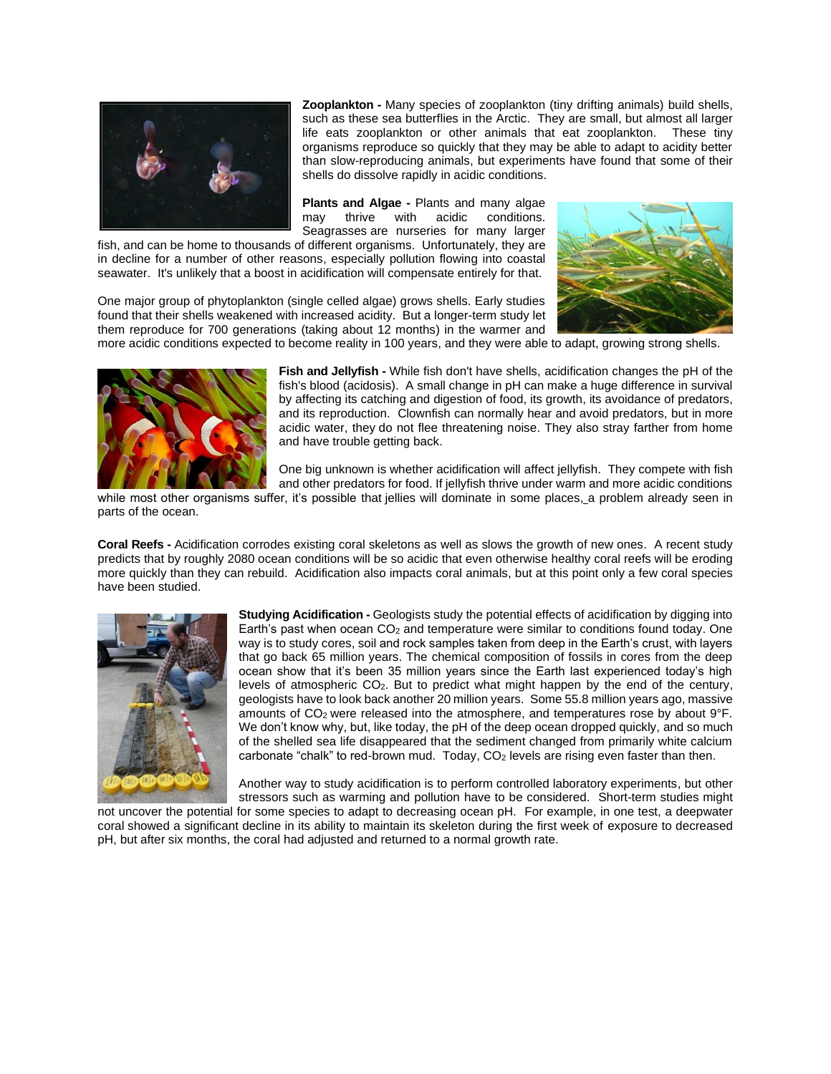

**Zooplankton -** Many species of zooplankton (tiny drifting animals) build shells, such as these sea butterflies in the Arctic. They are small, but almost all larger life eats zooplankton or other animals that eat zooplankton. These tiny organisms reproduce so quickly that they may be able to adapt to acidity better than slow-reproducing animals, but experiments have found that some of their shells do dissolve rapidly in acidic conditions.

**Plants and Algae -** Plants and many algae may thrive with acidic conditions. [Seagrasses](https://ocean.si.edu/seagrass-and-seagrass-beds) are nurseries for many larger

fish, and can be home to thousands of different organisms. Unfortunately, they are in decline for a number of other reasons, especially pollution flowing into coastal seawater. It's unlikely that a boost in acidification will compensate entirely for that.



One major group of phytoplankton (single celled algae) grows shells. Early studies found that their shells weakened with increased acidity. But [a longer-term study](http://www.eurekalert.org/pub_releases/2013-08/sfsu-cop082013.php) let them reproduce for 700 generations (taking about 12 months) in the warmer and

more acidic conditions expected to become reality in 100 years, and they were able to adapt, growing strong shells.



**Fish and Jellyfish -** While fish don't have shells, acidification changes the pH of the fish's blood (acidosis). A small change in pH can make a huge difference in survival by affecting its catching and digestion of food, its growth, its avoidance of predators, and its reproduction. Clownfish can normally hear and avoid predators, but in more acidic water, they [do not flee threatening noise.](http://www.treehugger.com/clean-technology/ocean-acidification-makes-clownfish-go-deaf-poor-nemo-cant-hear-predators-anymore.html) They also stray farther from home and have trouble [getting back.](https://www.scientificamerican.com/article/ocean-acidification-can-m/)

One big unknown is whether acidification will affect [jellyfish.](https://ocean.si.edu/jellyfish-and-comb-jellies) They compete with fish and other predators for food. If jellyfish thrive under warm and more acidic conditions

while most other organisms suffer, it's possible that [jellies will dominate in some places,](http://www.nybooks.com/articles/archives/2013/sep/26/jellyfish-theyre-taking-over/) a problem already seen in parts of the ocean.

**Coral Reefs -** Acidification corrodes existing coral skeletons as well as slows the growth of new ones. [A recent](https://www.scientificamerican.com/article/corals-are-dissolving-away1/) study predicts that by roughly 2080 ocean conditions will be so acidic that even otherwise healthy coral reefs will be eroding more quickly than they can rebuild. Acidification also impacts coral animals, but at this point only a few coral species have been studied.



**Studying Acidification -** Geologists study the potential effects of acidification by digging into Earth's past when ocean  $CO<sub>2</sub>$  and temperature were similar to conditions found today. One way is to study [cores,](https://ocean.si.edu/climate-change#section_53) soil and rock samples taken from deep in the Earth's crust, with layers that go back 65 million years. The chemical composition of fossils in cores from the deep ocean show that it's been 35 million years since the Earth last experienced today's high levels of atmospheric CO2. But to predict what might happen by the end of the century, geologists have to look back another 20 million years. Some 55.8 million years ago, massive amounts of  $CO<sub>2</sub>$  were released into the atmosphere, and temperatures rose by about  $9^{\circ}$ F. We don't know why, but, like today, the pH of the deep ocean dropped quickly, and so much of the shelled sea life disappeared that the sediment changed from primarily white calcium carbonate "chalk" to red-brown mud. Today, CO<sub>2</sub> levels are risin[g even faster than then.](http://arstechnica.com/science/2012/03/ocean-acidification-could-become-worst-in-at-least-300-million-years/)

Another way to study acidification is to perform controlled laboratory experiments, but other stressors such as warming and pollution have to be considered. Short-term studies might

not uncover the potential for some species to adapt to decreasing ocean pH. For example, in one test, a deepwater coral showed a significant decline in its ability to maintain its skeleton during the first week of exposure to decreased pH, but after six months, the coral had [adjusted](http://onlinelibrary.wiley.com/doi/10.1111/j.1365-2486.2011.02583.x/abstract) and returned to a normal growth rate.